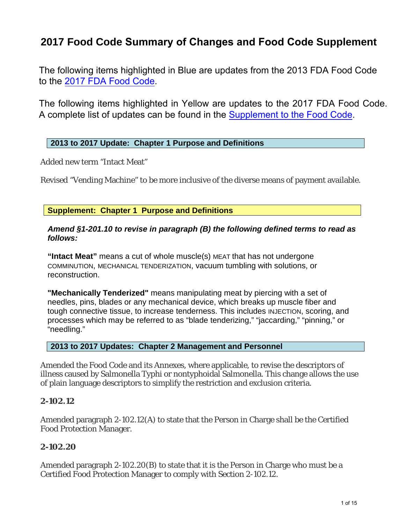# **2017 Food Code Summary of Changes and Food Code Supplement**

The following items highlighted in Blue are updates from the 2013 FDA Food Code to the [2017 FDA Food Code.](https://www.fda.gov/food/fda-food-code/food-code-2017)

The following items highlighted in Yellow are updates to the 2017 FDA Food Code. A complete list of updates can be found in t[he Supplement to the Food Code.](https://www.fda.gov/media/133749/download)

### **2013 to 2017 Update: Chapter 1 Purpose and Definitions**

Added new term "Intact Meat"

Revised "Vending Machine" to be more inclusive of the diverse means of payment available.

**Supplement: Chapter 1 Purpose and Definitions** 

#### *Amend §1-201.10 to revise in paragraph (B) the following defined terms to read as follows:*

**"Intact Meat"** means a cut of whole muscle(s) MEAT that has not undergone COMMINUTION, MECHANICAL TENDERIZATION, vacuum tumbling with solutions, or reconstruction.

**"Mechanically Tenderized"** means manipulating meat by piercing with a set of needles, pins, blades or any mechanical device, which breaks up muscle fiber and tough connective tissue, to increase tenderness. This includes INJECTION, scoring, and processes which may be referred to as "blade tenderizing," "jaccarding," "pinning," or "needling."

### **2013 to 2017 Updates: Chapter 2 Management and Personnel**

Amended the Food Code and its Annexes, where applicable, to revise the descriptors of illness caused by Salmonella Typhi or nontyphoidal Salmonella. This change allows the use of plain language descriptors to simplify the restriction and exclusion criteria.

### **2-102.12**

Amended paragraph 2-102.12(A) to state that the Person in Charge shall be the Certified Food Protection Manager.

### **2-102.20**

Amended paragraph 2-102.20(B) to state that it is the Person in Charge who must be a Certified Food Protection Manager to comply with Section 2-102.12.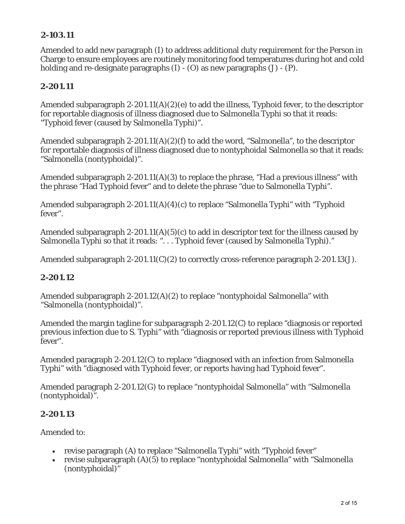# **2-103.11**

Amended to add new paragraph (I) to address additional duty requirement for the Person in Charge to ensure employees are routinely monitoring food temperatures during hot and cold holding and re-designate paragraphs (I) - (O) as new paragraphs (J) - (P).

# **2-201.11**

Amended subparagraph 2-201.11(A)(2)(e) to add the illness, Typhoid fever, to the descriptor for reportable diagnosis of illness diagnosed due to Salmonella Typhi so that it reads: "Typhoid fever (caused by Salmonella Typhi)".

Amended subparagraph 2-201.11(A)(2)(f) to add the word, "Salmonella", to the descriptor for reportable diagnosis of illness diagnosed due to nontyphoidal Salmonella so that it reads: "Salmonella (nontyphoidal)".

Amended subparagraph 2-201.11(A)(3) to replace the phrase, "Had a previous illness" with the phrase "Had Typhoid fever" and to delete the phrase "due to Salmonella Typhi".

Amended subparagraph 2-201.11(A)(4)(c) to replace "Salmonella Typhi" with "Typhoid fever".

Amended subparagraph 2-201.11(A)(5)(c) to add in descriptor text for the illness caused by Salmonella Typhi so that it reads: "... Typhoid fever (caused by Salmonella Typhi)."

Amended subparagraph 2-201.11(C)(2) to correctly cross-reference paragraph 2-201.13(J).

# **2-201.12**

Amended subparagraph 2-201.12(A)(2) to replace "nontyphoidal Salmonella" with "Salmonella (nontyphoidal)".

Amended the margin tagline for subparagraph 2-201.12(C) to replace "diagnosis or reported previous infection due to S. Typhi" with "diagnosis or reported previous illness with Typhoid fever".

Amended paragraph 2-201.12(C) to replace "diagnosed with an infection from Salmonella Typhi" with "diagnosed with Typhoid fever, or reports having had Typhoid fever".

Amended paragraph 2-201.12(G) to replace "nontyphoidal Salmonella" with "Salmonella (nontyphoidal)".

# **2-201.13**

Amended to:

- revise paragraph (A) to replace "Salmonella Typhi" with "Typhoid fever"
- revise subparagraph (A)(5) to replace "nontyphoidal Salmonella" with "Salmonella (nontyphoidal)"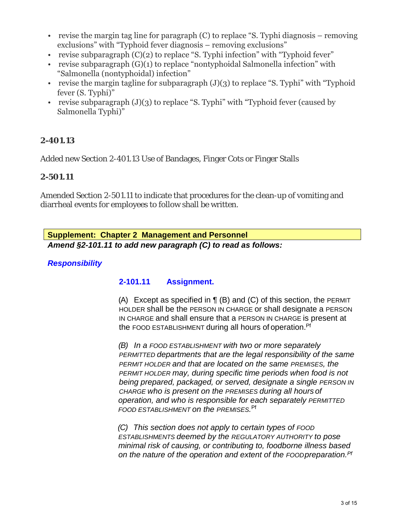- revise the margin tag line for paragraph (C) to replace "S. Typhi diagnosis removing exclusions" with "Typhoid fever diagnosis – removing exclusions"
- revise subparagraph  $(C)(2)$  to replace "S. Typhi infection" with "Typhoid fever"
- revise subparagraph (G)(1) to replace "nontyphoidal Salmonella infection" with "Salmonella (nontyphoidal) infection"
- revise the margin tagline for subparagraph  $(J)(3)$  to replace "S. Typhi" with "Typhoid" fever (S. Typhi)"
- revise subparagraph  $(J)(3)$  to replace "S. Typhi" with "Typhoid fever (caused by Salmonella Typhi)"

## **2-401.13**

Added new Section 2-401.13 Use of Bandages, Finger Cots or Finger Stalls

#### **2-501.11**

Amended Section 2-501.11 to indicate that procedures for the clean-up of vomiting and diarrheal events for employees to follow shall be written.

*Amend §2-101.11 to add new paragraph (C) to read as follows:*  **Supplement: Chapter 2 Management and Personnel** 

## *Responsibility*

# **2-101.11 Assignment.**

(A) Except as specified in ¶ (B) and (C) of this section, the PERMIT HOLDER shall be the PERSON IN CHARGE or shall designate a PERSON IN CHARGE and shall ensure that a PERSON IN CHARGE is present at the FOOD ESTABLISHMENT during all hours of operation.<sup>Pf</sup>

*(B) In a FOOD ESTABLISHMENT with two or more separately PERMITTED departments that are the legal responsibility of the same PERMIT HOLDER and that are located on the same PREMISES, the PERMIT HOLDER may, during specific time periods when food is not being prepared, packaged, or served, designate a single PERSON IN CHARGE who is present on the PREMISES during all hours of operation, and who is responsible for each separately PERMITTED FOOD ESTABLISHMENT on the PREMISES.* Pf

*(C) This section does not apply to certain types of FOOD ESTABLISHMENTS deemed by the REGULATORY AUTHORITY to pose minimal risk of causing, or contributing to, foodborne illness based on the nature of the operation and extent of the FOODpreparation.Pf*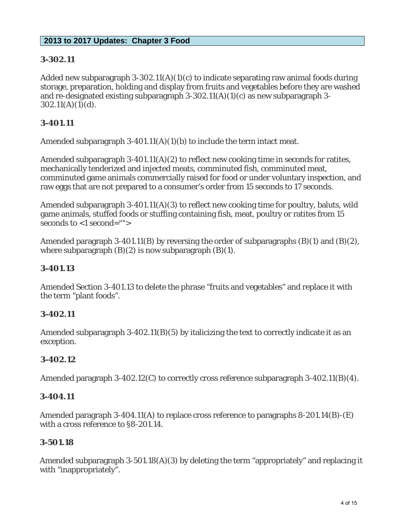## **2013 to 2017 Updates: Chapter 3 Food**

## **3-302.11**

Added new subparagraph 3-302.11(A)(1)(c) to indicate separating raw animal foods during storage, preparation, holding and display from fruits and vegetables before they are washed and re-designated existing subparagraph 3-302.11(A)(1)(c) as new subparagraph 3-  $302.11(A)(1)(d)$ .

## **3-401.11**

Amended subparagraph 3-401.11(A)(1)(b) to include the term intact meat.

Amended subparagraph 3-401.11(A)(2) to reflect new cooking time in seconds for ratites, mechanically tenderized and injected meats, comminuted fish, comminuted meat, comminuted game animals commercially raised for food or under voluntary inspection, and raw eggs that are not prepared to a consumer's order from 15 seconds to 17 seconds.

Amended subparagraph 3-401.11(A)(3) to reflect new cooking time for poultry, baluts, wild game animals, stuffed foods or stuffing containing fish, meat, poultry or ratites from 15 seconds to <1 second="">

Amended paragraph 3-401.11(B) by reversing the order of subparagraphs  $(B)(1)$  and  $(B)(2)$ , where subparagraph  $(B)(2)$  is now subparagraph  $(B)(1)$ .

### **3-401.13**

Amended Section 3-401.13 to delete the phrase "fruits and vegetables" and replace it with the term "plant foods".

### **3-402.11**

Amended subparagraph 3-402.11(B)(5) by italicizing the text to correctly indicate it as an exception.

### **3-402.12**

Amended paragraph 3-402.12(C) to correctly cross reference subparagraph 3-402.11(B)(4).

### **3-404.11**

Amended paragraph 3-404.11(A) to replace cross reference to paragraphs 8-201.14(B)-(E) with a cross reference to §8-201.14.

# **3-501.18**

Amended subparagraph 3-501.18(A)(3) by deleting the term "appropriately" and replacing it with "inappropriately".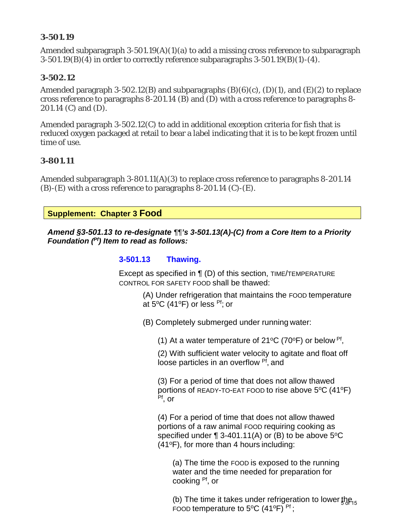### **3-501.19**

Amended subparagraph  $3-501.19(A)(1)(a)$  to add a missing cross reference to subparagraph 3-501.19(B)(4) in order to correctly reference subparagraphs 3-501.19(B)(1)-(4).

#### **3-502.12**

Amended paragraph 3-502.12(B) and subparagraphs  $(B)(6)(c)$ ,  $(D)(1)$ , and  $(E)(2)$  to replace cross reference to paragraphs 8-201.14 (B) and (D) with a cross reference to paragraphs 8- 201.14 (C) and (D).

Amended paragraph 3-502.12(C) to add in additional exception criteria for fish that is reduced oxygen packaged at retail to bear a label indicating that it is to be kept frozen until time of use.

#### **3-801.11**

Amended subparagraph 3-801.11(A)(3) to replace cross reference to paragraphs 8-201.14  $(B)$ - $(E)$  with a cross reference to paragraphs 8-201.14  $(C)$ - $(E)$ .

**Supplement: Chapter 3 Food** 

*Amend §3-501.13 to re-designate ¶¶'s 3-501.13(A)-(C) from a Core Item to a Priority Foundation (Pf) Item to read as follows:*

#### **3-501.13 Thawing.**

Except as specified in ¶ (D) of this section, TIME/TEMPERATURE CONTROL FOR SAFETY FOOD shall be thawed:

> (A) Under refrigeration that maintains the FOOD temperature at  $5^{\circ}$ C (41 $^{\circ}$ F) or less <sup>Pf</sup>; or

(B) Completely submerged under running water:

(1) At a water temperature of 21<sup>o</sup>C (70<sup>o</sup>F) or below <sup>Pf</sup>,

(2) With sufficient water velocity to agitate and float off loose particles in an overflow <sup>Pf</sup>, and

(3) For a period of time that does not allow thawed portions of READY-TO-EAT FOOD to rise above  $5^{\circ}$ C (41 $^{\circ}$ F) Pf, or

(4) For a period of time that does not allow thawed portions of a raw animal FOOD requiring cooking as specified under  $\P$  3-401.11(A) or (B) to be above 5 °C  $(41^{\circ}F)$ , for more than 4 hours including:

(a) The time the FOOD is exposed to the running water and the time needed for preparation for cooking Pf, or

(b) The time it takes under refrigeration to lower  $the_{15}$ FOOD temperature to 5 $\mathrm{^{\circ}C}$  (41 $\mathrm{^{\circ}F}$ ) <sup>Pf</sup>;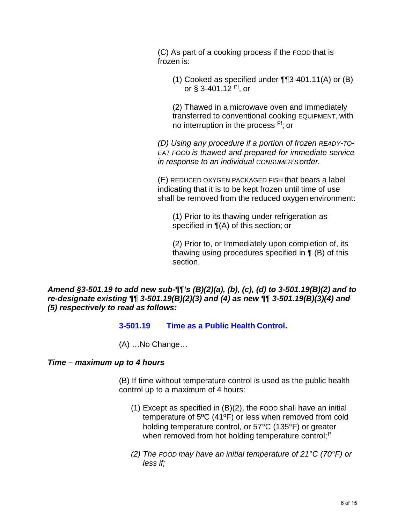(C) As part of a cooking process if the FOOD that is frozen is:

(1) Cooked as specified under  $\P$ [3-401.11(A) or (B) or  $\S$  3-401.12 <sup>Pf</sup>, or

(2) Thawed in a microwave oven and immediately transferred to conventional cooking EQUIPMENT, with no interruption in the process <sup>Pf</sup>; or

*(D) Using any procedure if a portion of frozen READY-TO-EAT FOOD is thawed and prepared for immediate service in response to an individual CONSUMER'S order.*

(E) REDUCED OXYGEN PACKAGED FISH that bears a label indicating that it is to be kept frozen until time of use shall be removed from the reduced oxygen environment:

(1) Prior to its thawing under refrigeration as specified in ¶(A) of this section; or

(2) Prior to, or Immediately upon completion of, its thawing using procedures specified in ¶ (B) of this section.

*Amend §3-501.19 to add new sub-¶¶'s (B)(2)(a), (b), (c), (d) to 3-501.19(B)(2) and to re-designate existing ¶¶ 3-501.19(B)(2)(3) and (4) as new ¶¶ 3-501.19(B)(3)(4) and (5) respectively to read as follows:*

### **3-501.19 Time as a Public Health Control.**

(A) …No Change…

### *Time – maximum up to 4 hours*

(B) If time without temperature control is used as the public health control up to a maximum of 4 hours:

- (1) Except as specified in (B)(2), the FOOD shall have an initial temperature of 5ºC (41ºF) or less when removed from cold holding temperature control, or 57°C (135°F) or greater when removed from hot holding temperature control;<sup>P</sup>
- *(2) The FOOD may have an initial temperature of 21°C (70°F) or less if;*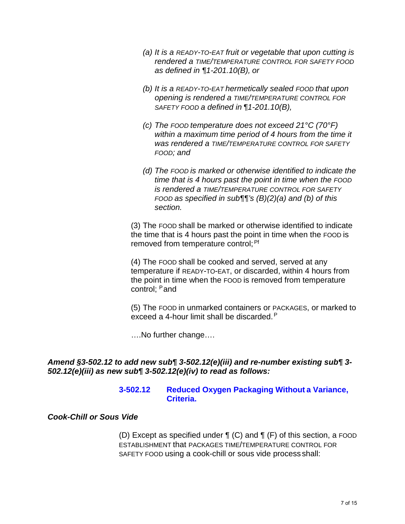- *(a) It is a READY-TO-EAT fruit or vegetable that upon cutting is rendered a TIME/TEMPERATURE CONTROL FOR SAFETY FOOD as defined in ¶1-201.10(B), or*
- *(b) It is a READY-TO-EAT hermetically sealed FOOD that upon opening is rendered a TIME/TEMPERATURE CONTROL FOR SAFETY FOOD a defined in ¶1-201.10(B),*
- *(c) The FOOD temperature does not exceed 21°C (70°F) within a maximum time period of 4 hours from the time it was rendered a TIME/TEMPERATURE CONTROL FOR SAFETY FOOD; and*
- *(d) The FOOD is marked or otherwise identified to indicate the time that is 4 hours past the point in time when the FOOD is rendered a TIME/TEMPERATURE CONTROL FOR SAFETY FOOD as specified in sub¶¶'s (B)(2)(a) and (b) of this section.*

(3) The FOOD shall be marked or otherwise identified to indicate the time that is 4 hours past the point in time when the FOOD is removed from temperature control; <sup>Pf</sup>

(4) The FOOD shall be cooked and served, served at any temperature if READY-TO-EAT, or discarded, within 4 hours from the point in time when the FOOD is removed from temperature control: Pand

(5) The FOOD in unmarked containers or PACKAGES, or marked to exceed a 4-hour limit shall be discarded.<sup>P</sup>

….No further change….

### *Amend §3-502.12 to add new sub¶ 3-502.12(e)(iii) and re-number existing sub¶ 3- 502.12(e)(iii) as new sub¶ 3-502.12(e)(iv) to read as follows:*

#### **3-502.12 Reduced Oxygen Packaging Without a Variance, Criteria.**

#### *Cook-Chill or Sous Vide*

(D) Except as specified under ¶ (C) and ¶ (F) of this section, a FOOD ESTABLISHMENT that PACKAGES TIME/TEMPERATURE CONTROL FOR SAFETY FOOD using a cook-chill or sous vide process shall: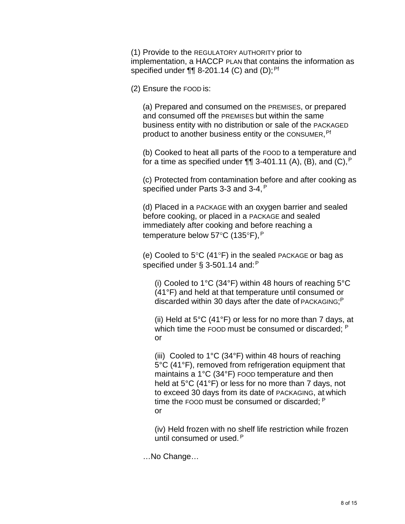(1) Provide to the REGULATORY AUTHORITY prior to implementation, a HACCP PLAN that contains the information as specified under  $\P\P$  8-201.14 (C) and (D);<sup>Pf</sup>

(2) Ensure the FOOD is:

(a) Prepared and consumed on the PREMISES, or prepared and consumed off the PREMISES but within the same business entity with no distribution or sale of the PACKAGED product to another business entity or the CONSUMER, <sup>Pf</sup>

(b) Cooked to heat all parts of the FOOD to a temperature and for a time as specified under  $\P\P$  3-401.11 (A), (B), and (C),  $P$ 

(c) Protected from contamination before and after cooking as specified under Parts 3-3 and 3-4, <sup>P</sup>

(d) Placed in a PACKAGE with an oxygen barrier and sealed before cooking, or placed in a PACKAGE and sealed immediately after cooking and before reaching a temperature below 57°C (135°F), <sup>P</sup>

(e) Cooled to  $5^{\circ}$ C (41 $^{\circ}$ F) in the sealed PACKAGE or bag as specified under § 3-501.14 and: P

(i) Cooled to 1 $\degree$ C (34 $\degree$ F) within 48 hours of reaching 5 $\degree$ C (41°F) and held at that temperature until consumed or discarded within 30 days after the date of PACKAGING;<sup>P</sup>

(ii) Held at 5°C (41°F) or less for no more than 7 days, at which time the FOOD must be consumed or discarded: <sup>P</sup> or

(iii) Cooled to 1 $\rm{^{\circ}C}$  (34 $\rm{^{\circ}F}$ ) within 48 hours of reaching 5°C (41°F), removed from refrigeration equipment that maintains a 1°C (34°F) FOOD temperature and then held at 5°C (41°F) or less for no more than 7 days, not to exceed 30 days from its date of PACKAGING, at which time the FOOD must be consumed or discarded: <sup>P</sup> or

(iv) Held frozen with no shelf life restriction while frozen until consumed or used. <sup>P</sup>

…No Change…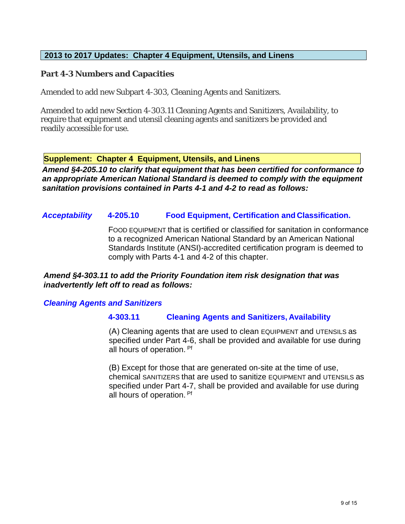### **2013 to 2017 Updates: Chapter 4 Equipment, Utensils, and Linens**

#### **Part 4-3 Numbers and Capacities**

Amended to add new Subpart 4-303, Cleaning Agents and Sanitizers.

Amended to add new Section 4-303.11 Cleaning Agents and Sanitizers, Availability, to require that equipment and utensil cleaning agents and sanitizers be provided and readily accessible for use.

**Supplement: Chapter 4 Equipment, Utensils, and Linens** 

*Amend §4-205.10 to clarify that equipment that has been certified for conformance to an appropriate American National Standard is deemed to comply with the equipment sanitation provisions contained in Parts 4-1 and 4-2 to read as follows:* 

### *Acceptability* **4-205.10 Food Equipment, Certification and Classification.**

FOOD EQUIPMENT that is certified or classified for sanitation in conformance to a recognized American National Standard by an American National Standards Institute (ANSI)-accredited certification program is deemed to comply with Parts 4-1 and 4-2 of this chapter.

#### *Amend §4-303.11 to add the Priority Foundation item risk designation that was inadvertently left off to read as follows:*

### *Cleaning Agents and Sanitizers*

#### **4-303.11 Cleaning Agents and Sanitizers, Availability**

(A) Cleaning agents that are used to clean EQUIPMENT and UTENSILS as specified under Part 4-6, shall be provided and available for use during all hours of operation. Pf

(B) Except for those that are generated on-site at the time of use, chemical SANITIZERS that are used to sanitize EQUIPMENT and UTENSILS as specified under Part 4-7, shall be provided and available for use during all hours of operation. Pf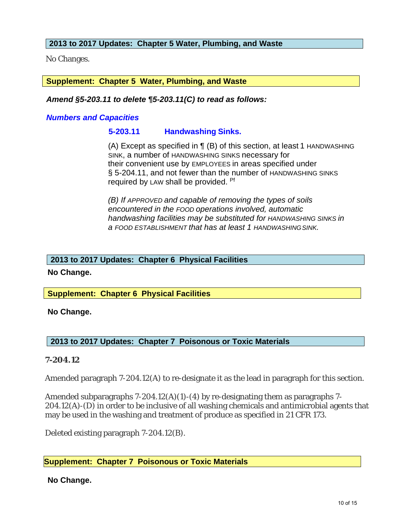### **2013 to 2017 Updates: Chapter 5 Water, Plumbing, and Waste**

No Changes.

### **Supplement: Chapter 5 Water, Plumbing, and Waste**

#### *Amend §5-203.11 to delete ¶5-203.11(C) to read as follows:*

#### *Numbers and Capacities*

### **5-203.11 Handwashing Sinks.**

their convenient use by EMPLOYEES in areas specified under § 5-204.11, and not fewer than the number of HANDWASHING SINKS required by LAW shall be provided. Pf (A) Except as specified in  $\P$  (B) of this section, at least 1 HANDWASHING SINK, a number of HANDWASHING SINKS necessary for

*(B) If APPROVED and capable of removing the types of soils encountered in the FOOD operations involved, automatic handwashing facilities may be substituted for HANDWASHING SINKS in a FOOD ESTABLISHMENT that has at least 1 HANDWASHINGSINK.*

#### **2013 to 2017 Updates: Chapter 6 Physical Facilities**

**No Change.**

### **Supplement: Chapter 6 Physical Facilities**

**No Change.**

# **2013 to 2017 Updates: Chapter 7 Poisonous or Toxic Materials**

### **7-204.12**

Amended paragraph 7-204.12(A) to re-designate it as the lead in paragraph for this section.

Amended subparagraphs  $7-204.12(A)(1)-(4)$  by re-designating them as paragraphs 7-204.12(A)-(D) in order to be inclusive of all washing chemicals and antimicrobial agents that may be used in the washing and treatment of produce as specified in 21 CFR 173.

Deleted existing paragraph 7-204.12(B).

### **Supplement: Chapter 7 Poisonous or Toxic Materials**

### **No Change.**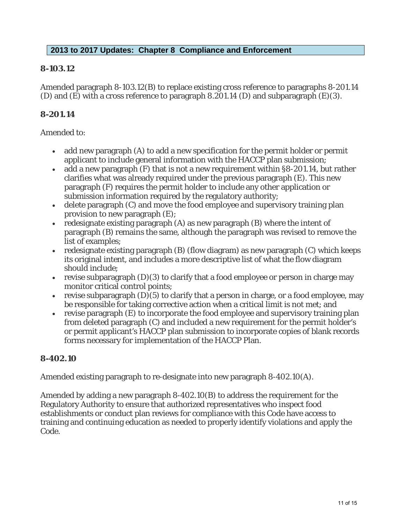## **2013 to 2017 Updates: Chapter 8 Compliance and Enforcement**

## **8-103.12**

Amended paragraph 8-103.12(B) to replace existing cross reference to paragraphs 8-201.14 (D) and (E) with a cross reference to paragraph 8.201.14 (D) and subparagraph (E)(3).

## **8-201.14**

#### Amended to:

- add new paragraph (A) to add a new specification for the permit holder or permit applicant to include general information with the HACCP plan submission;
- add a new paragraph (F) that is not a new requirement within §8-201.14, but rather clarifies what was already required under the previous paragraph (E). This new paragraph (F) requires the permit holder to include any other application or submission information required by the regulatory authority;
- delete paragraph (C) and move the food employee and supervisory training plan provision to new paragraph (E);
- redesignate existing paragraph (A) as new paragraph (B) where the intent of paragraph (B) remains the same, although the paragraph was revised to remove the list of examples;
- redesignate existing paragraph (B) (flow diagram) as new paragraph (C) which keeps its original intent, and includes a more descriptive list of what the flow diagram should include;
- revise subparagraph  $(D)(3)$  to clarify that a food employee or person in charge may monitor critical control points;
- revise subparagraph  $(D)(5)$  to clarify that a person in charge, or a food employee, may be responsible for taking corrective action when a critical limit is not met; and
- revise paragraph (E) to incorporate the food employee and supervisory training plan from deleted paragraph (C) and included a new requirement for the permit holder's or permit applicant's HACCP plan submission to incorporate copies of blank records forms necessary for implementation of the HACCP Plan.

# **8-402.10**

Amended existing paragraph to re-designate into new paragraph 8-402.10(A).

Amended by adding a new paragraph 8-402.10(B) to address the requirement for the Regulatory Authority to ensure that authorized representatives who inspect food establishments or conduct plan reviews for compliance with this Code have access to training and continuing education as needed to properly identify violations and apply the Code.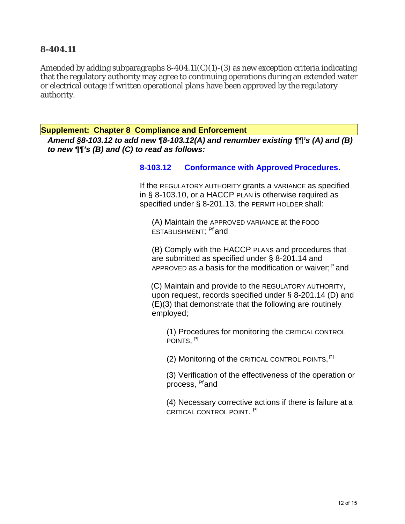## **8-404.11**

Amended by adding subparagraphs  $8-404.11(C)(1)-(3)$  as new exception criteria indicating that the regulatory authority may agree to continuing operations during an extended water or electrical outage if written operational plans have been approved by the regulatory authority.

**Supplement: Chapter 8 Compliance and Enforcement** 

*Amend §8-103.12 to add new ¶8-103.12(A) and renumber existing ¶¶'s (A) and (B) to new ¶¶'s (B) and (C) to read as follows:*

#### **8-103.12 Conformance with Approved Procedures.**

If the REGULATORY AUTHORITY grants a VARIANCE as specified in § 8-103.10, or a HACCP PLAN is otherwise required as specified under § 8-201.13, the PERMIT HOLDER shall:

(A) Maintain the APPROVED VARIANCE at the FOOD ESTABLISHMENT; Pf and

(B) Comply with the HACCP PLANs and procedures that are submitted as specified under § 8-201.14 and APPROVED as a basis for the modification or waiver;<sup>P</sup> and

(C) Maintain and provide to the REGULATORY AUTHORITY, upon request, records specified under § 8-201.14 (D) and (E)(3) that demonstrate that the following are routinely employed;

(1) Procedures for monitoring the CRITICALCONTROL POINTS, Pf

(2) Monitoring of the CRITICAL CONTROL POINTS, Pf

(3) Verification of the effectiveness of the operation or process, Pfand

(4) Necessary corrective actions if there is failure at a CRITICAL CONTROL POINT. Pf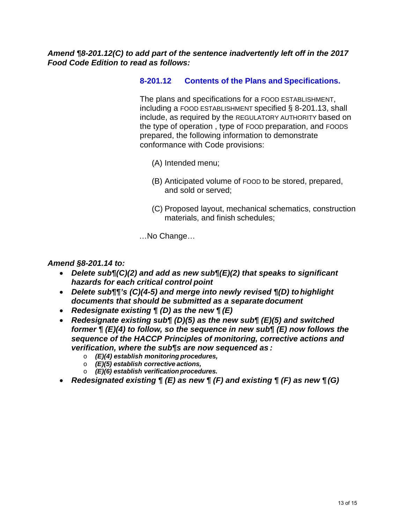## *Amend ¶8-201.12(C) to add part of the sentence inadvertently left off in the 2017 Food Code Edition to read as follows:*

## **8-201.12 Contents of the Plans and Specifications.**

The plans and specifications for a FOOD ESTABLISHMENT, including a FOOD ESTABLISHMENT specified § 8-201.13, shall include, as required by the REGULATORY AUTHORITY based on the type of operation , type of FOOD preparation, and FOODS prepared, the following information to demonstrate conformance with Code provisions:

- (A) Intended menu;
- (B) Anticipated volume of FOOD to be stored, prepared, and sold or served;
- (C) Proposed layout, mechanical schematics, construction materials, and finish schedules;

…No Change…

#### *Amend §8-201.14 to:*

- *Delete sub¶(C)(2) and add as new sub¶(E)(2) that speaks to significant hazards for each critical control point*
- *Delete sub¶¶'s (C)(4-5) and merge into newly revised ¶(D) tohighlight documents that should be submitted as a separate document*
- *Redesignate existing ¶ (D) as the new ¶ (E)*
- *Redesignate existing sub¶ (D)(5) as the new sub¶ (E)(5) and switched former ¶ (E)(4) to follow, so the sequence in new sub¶ (E) now follows the sequence of the HACCP Principles of monitoring, corrective actions and verification, where the sub¶s are now sequenced as :*
	- o *(E)(4) establish monitoring procedures,*
	- o *(E)(5) establish corrective actions,*
	- o *(E)(6) establish verificationprocedures.*
- *Redesignated existing ¶ (E) as new ¶ (F) and existing ¶ (F) as new ¶ (G)*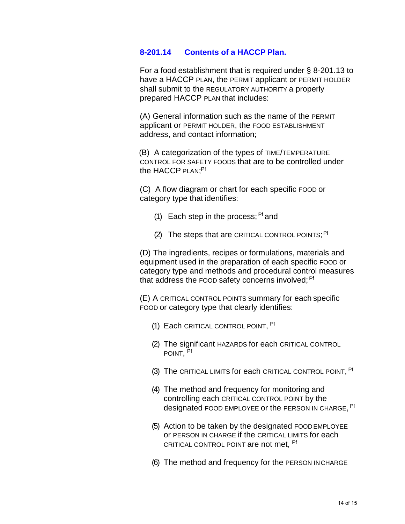#### **8-201.14 Contents of a HACCP Plan.**

For a food establishment that is required under § 8-201.13 to have a HACCP PLAN, the PERMIT applicant or PERMIT HOLDER shall submit to the REGULATORY AUTHORITY a properly prepared HACCP PLAN that includes:

(A) General information such as the name of the PERMIT applicant or PERMIT HOLDER, the FOOD ESTABLISHMENT address, and contact information;

(B) A categorization of the types of TIME/TEMPERATURE CONTROL FOR SAFETY FOODS that are to be controlled under the HACCP <sub>PLAN;</sub>Pf

(C) A flow diagram or chart for each specific FOOD or category type that identifies:

- (1) Each step in the process;  $Pf$  and
- (2) The steps that are CRITICAL CONTROL POINTS; <sup>Pf</sup>

(D) The ingredients, recipes or formulations, materials and equipment used in the preparation of each specific FOOD or category type and methods and procedural control measures that address the FOOD safety concerns involved; <sup>Pf</sup>

(E) A CRITICAL CONTROL POINTS summary for each specific FOOD or category type that clearly identifies:

- (1) Each CRITICAL CONTROL POINT, Pf
- (2) The significant HAZARDS for each CRITICAL CONTROL POINT, Pf
- (3) The CRITICAL LIMITS for each CRITICAL CONTROL POINT, <sup>Pf</sup>
- (4) The method and frequency for monitoring and controlling each CRITICAL CONTROL POINT by the designated FOOD EMPLOYEE or the PERSON IN CHARGE, <sup>Pf</sup>
- (5) Action to be taken by the designated FOOD EMPLOYEE or PERSON IN CHARGE if the CRITICAL LIMITS for each CRITICAL CONTROL POINT are not met, Pf
- (6) The method and frequency for the PERSON INCHARGE